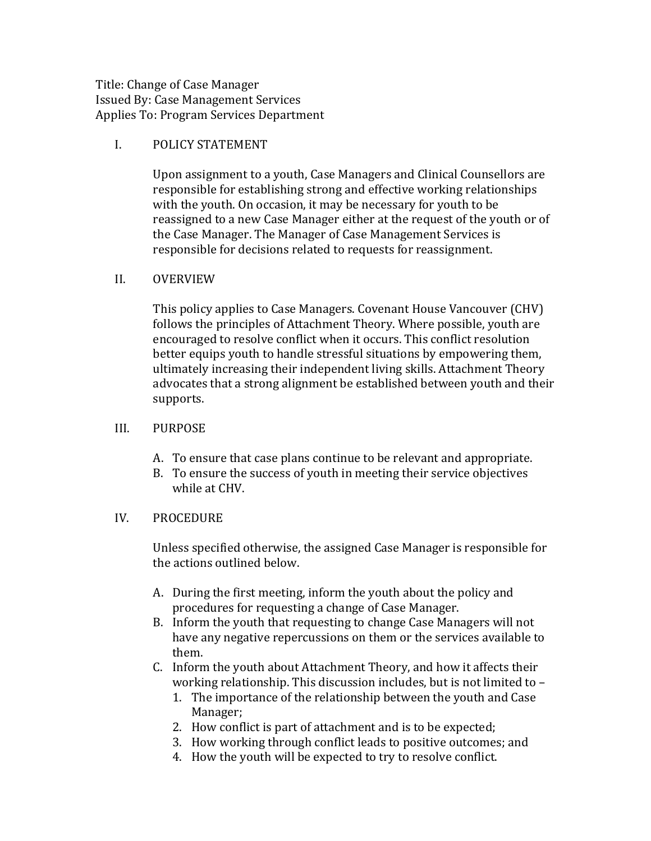Title: Change of Case Manager Issued By: Case Management Services Applies To: Program Services Department

## I. POLICY STATEMENT

Upon assignment to a youth, Case Managers and Clinical Counsellors are responsible for establishing strong and effective working relationships with the youth. On occasion, it may be necessary for youth to be reassigned to a new Case Manager either at the request of the youth or of the Case Manager. The Manager of Case Management Services is responsible for decisions related to requests for reassignment.

## II. OVERVIEW

This policy applies to Case Managers. Covenant House Vancouver (CHV) follows the principles of Attachment Theory. Where possible, youth are encouraged to resolve conflict when it occurs. This conflict resolution better equips youth to handle stressful situations by empowering them, ultimately increasing their independent living skills. Attachment Theory advocates that a strong alignment be established between youth and their supports.

## III. PURPOSE

- A. To ensure that case plans continue to be relevant and appropriate.
- B. To ensure the success of youth in meeting their service objectives while at CHV.

## IV. PROCEDURE

Unless specified otherwise, the assigned Case Manager is responsible for the actions outlined below.

- A. During the first meeting, inform the youth about the policy and procedures for requesting a change of Case Manager.
- B. Inform the youth that requesting to change Case Managers will not have any negative repercussions on them or the services available to them.'
- C. Inform the youth about Attachment Theory, and how it affects their working relationship. This discussion includes, but is not limited to -
	- 1. The importance of the relationship between the youth and Case Manager;
	- 2. How conflict is part of attachment and is to be expected;
	- 3. How working through conflict leads to positive outcomes; and
	- 4. How the youth will be expected to try to resolve conflict.